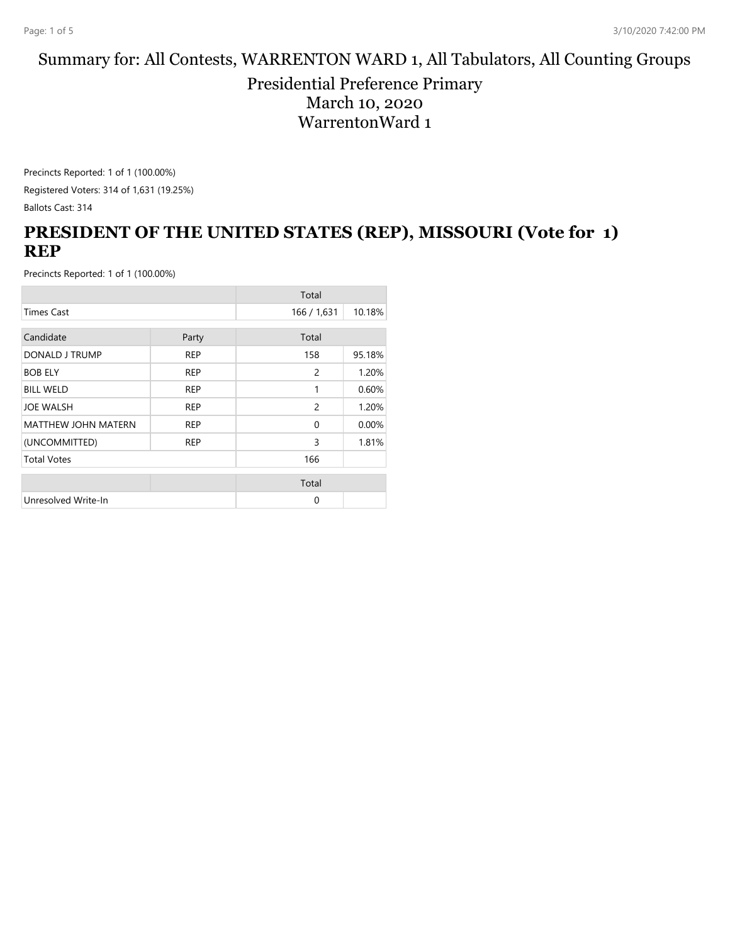#### Summary for: All Contests, WARRENTON WARD 1, All Tabulators, All Counting Groups

Presidential Preference Primary March 10, 2020 WarrentonWard 1

Precincts Reported: 1 of 1 (100.00%) Registered Voters: 314 of 1,631 (19.25%) Ballots Cast: 314

# **PRESIDENT OF THE UNITED STATES (REP), MISSOURI (Vote for 1) REP**

|                            |            | Total        |        |
|----------------------------|------------|--------------|--------|
| <b>Times Cast</b>          |            | 166 / 1,631  | 10.18% |
| Candidate                  | Party      | Total        |        |
| DONALD J TRUMP             | <b>REP</b> | 158          | 95.18% |
| <b>BOB ELY</b>             | <b>REP</b> | 2            | 1.20%  |
| <b>BILL WELD</b>           | <b>REP</b> | 1            | 0.60%  |
| <b>JOE WALSH</b>           | <b>REP</b> | 2            | 1.20%  |
| <b>MATTHEW JOHN MATERN</b> | <b>REP</b> | $\mathbf{0}$ | 0.00%  |
| (UNCOMMITTED)              | <b>REP</b> | 3            | 1.81%  |
| <b>Total Votes</b>         |            | 166          |        |
|                            |            | Total        |        |
| Unresolved Write-In        |            | 0            |        |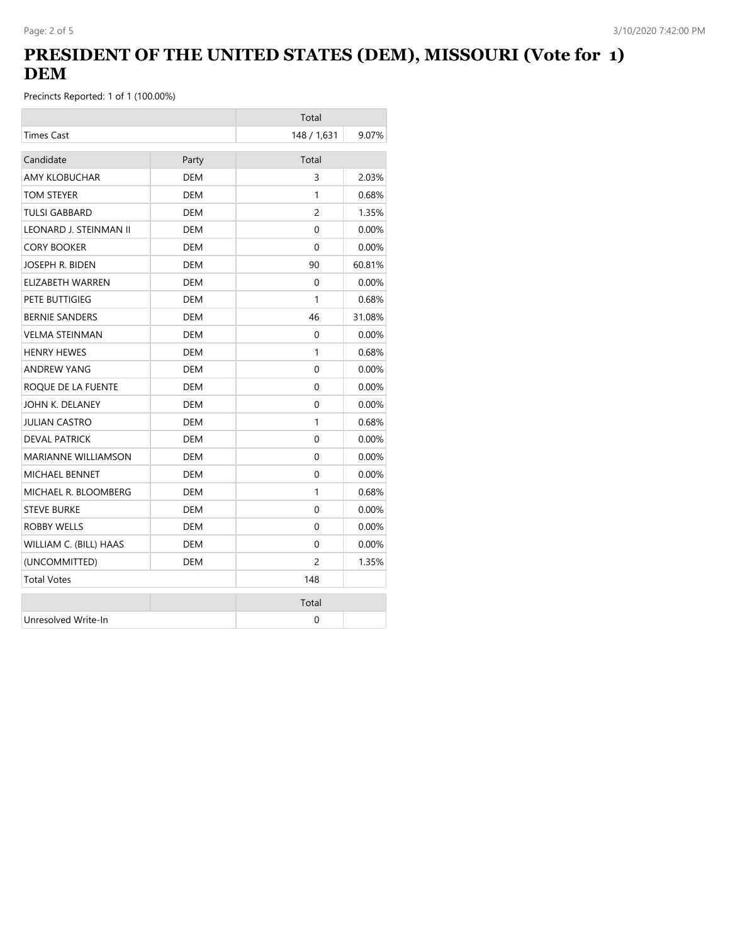# **PRESIDENT OF THE UNITED STATES (DEM), MISSOURI (Vote for 1) DEM**

|                        |            | Total          |          |
|------------------------|------------|----------------|----------|
| <b>Times Cast</b>      |            | 148 / 1,631    | 9.07%    |
| Candidate              | Party      | Total          |          |
| <b>AMY KLOBUCHAR</b>   | <b>DEM</b> | 3              | 2.03%    |
| TOM STEYER             | <b>DEM</b> | 1              | 0.68%    |
| <b>TULSI GABBARD</b>   | <b>DEM</b> | $\overline{c}$ | 1.35%    |
| LEONARD J. STEINMAN II | <b>DEM</b> | 0              | 0.00%    |
| <b>CORY BOOKER</b>     | <b>DEM</b> | $\Omega$       | 0.00%    |
| JOSEPH R. BIDEN        | <b>DEM</b> | 90             | 60.81%   |
| ELIZABETH WARREN       | DEM        | $\Omega$       | $0.00\%$ |
| PETE BUTTIGIEG         | DEM        | 1              | 0.68%    |
| <b>BERNIE SANDERS</b>  | DEM        | 46             | 31.08%   |
| <b>VELMA STEINMAN</b>  | <b>DEM</b> | 0              | 0.00%    |
| <b>HENRY HEWES</b>     | DEM        | 1              | 0.68%    |
| <b>ANDREW YANG</b>     | <b>DEM</b> | 0              | 0.00%    |
| ROQUE DE LA FUENTE     | DEM        | 0              | $0.00\%$ |
| JOHN K. DELANEY        | <b>DEM</b> | 0              | 0.00%    |
| JULIAN CASTRO          | DEM        | 1              | 0.68%    |
| <b>DEVAL PATRICK</b>   | <b>DEM</b> | 0              | 0.00%    |
| MARIANNE WILLIAMSON    | DEM        | 0              | $0.00\%$ |
| <b>MICHAEL BENNET</b>  | <b>DEM</b> | $\Omega$       | 0.00%    |
| MICHAEL R. BLOOMBERG   | DEM        | 1              | 0.68%    |
| <b>STEVE BURKE</b>     | DEM        | $\Omega$       | $0.00\%$ |
| ROBBY WELLS            | DEM        | 0              | 0.00%    |
| WILLIAM C. (BILL) HAAS | DEM        | $\Omega$       | $0.00\%$ |
| (UNCOMMITTED)          | DEM        | 2              | 1.35%    |
| <b>Total Votes</b>     |            | 148            |          |
|                        |            | Total          |          |
| Unresolved Write-In    |            | 0              |          |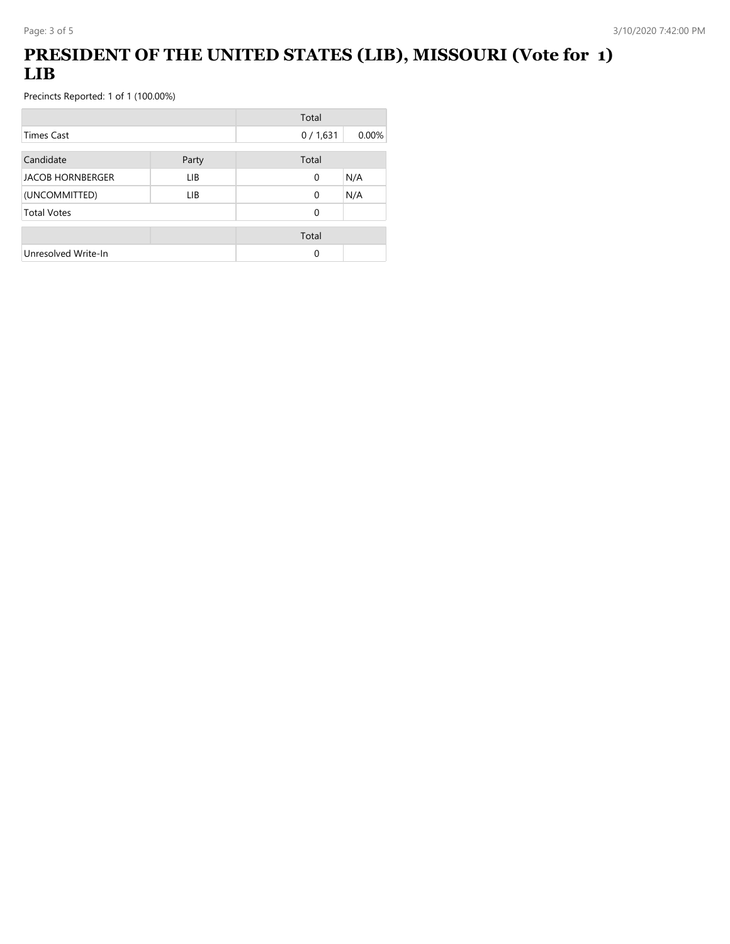# **PRESIDENT OF THE UNITED STATES (LIB), MISSOURI (Vote for 1) LIB**

|                         |       | Total    |       |
|-------------------------|-------|----------|-------|
| <b>Times Cast</b>       |       | 0/1,631  | 0.00% |
| Candidate               | Party | Total    |       |
| <b>JACOB HORNBERGER</b> | LIB.  | 0        | N/A   |
| (UNCOMMITTED)           | LIB.  | $\Omega$ | N/A   |
| <b>Total Votes</b>      |       | 0        |       |
|                         |       | Total    |       |
| Unresolved Write-In     |       | 0        |       |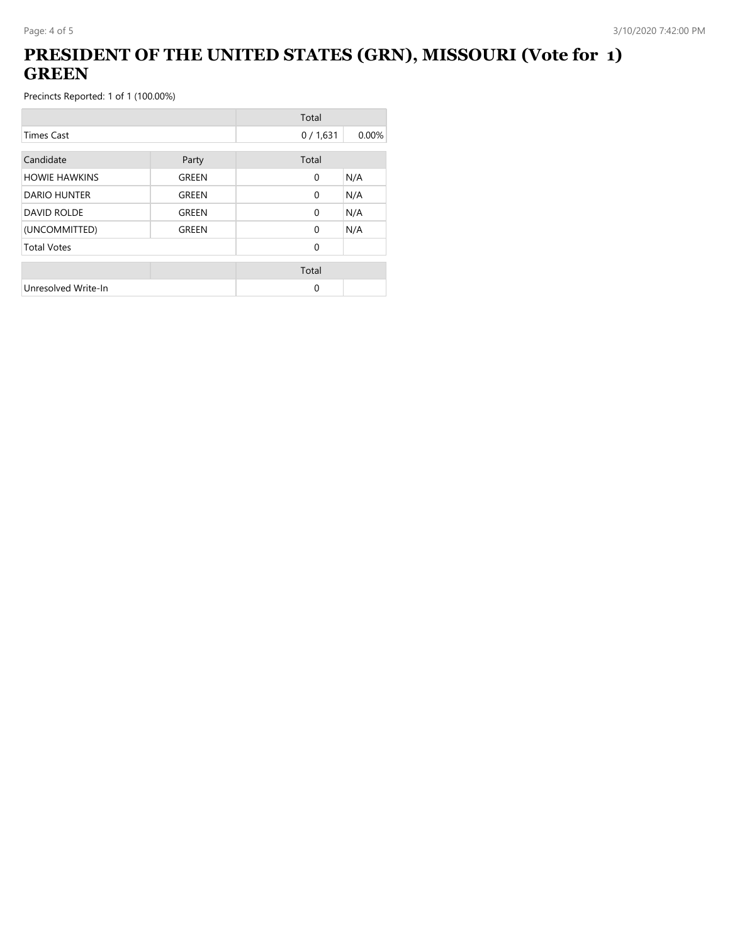# **PRESIDENT OF THE UNITED STATES (GRN), MISSOURI (Vote for 1) GREEN**

|                      |              | Total        |       |
|----------------------|--------------|--------------|-------|
| <b>Times Cast</b>    |              | 0/1,631      | 0.00% |
| Candidate            | Party        | Total        |       |
| <b>HOWIE HAWKINS</b> | GREEN        | $\mathbf{0}$ | N/A   |
| <b>DARIO HUNTER</b>  | <b>GREEN</b> | $\mathbf{0}$ | N/A   |
| <b>DAVID ROLDE</b>   | GREEN        | $\Omega$     | N/A   |
| (UNCOMMITTED)        | GREEN        | $\Omega$     | N/A   |
| <b>Total Votes</b>   |              | $\Omega$     |       |
|                      |              | Total        |       |
| Unresolved Write-In  |              | $\Omega$     |       |